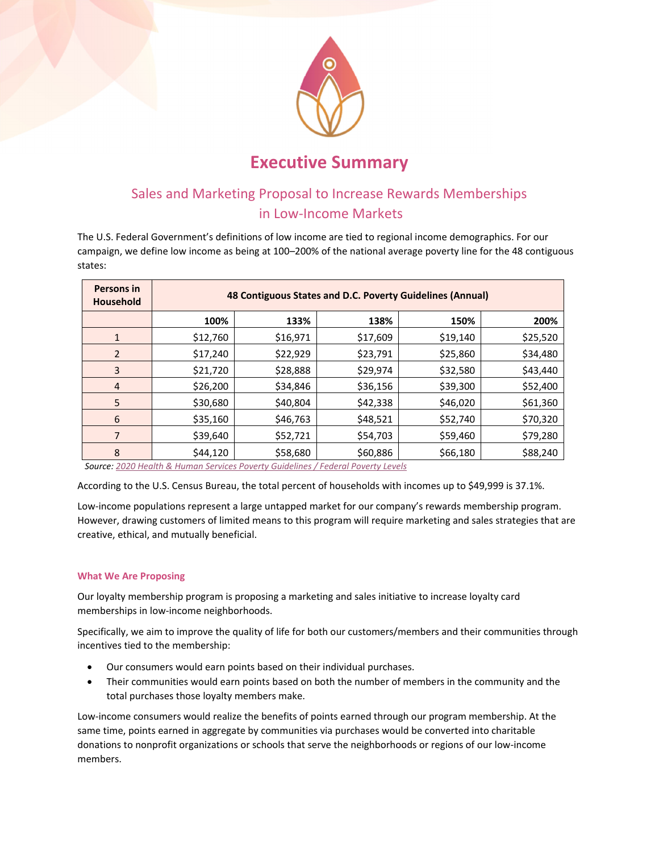

# **Executive Summary**

# Sales and Marketing Proposal to Increase Rewards Memberships in Low‐Income Markets

The U.S. Federal Government's definitions of low income are tied to regional income demographics. For our campaign, we define low income as being at 100–200% of the national average poverty line for the 48 contiguous states:

| Persons in<br><b>Household</b> | 48 Contiguous States and D.C. Poverty Guidelines (Annual) |          |          |          |          |
|--------------------------------|-----------------------------------------------------------|----------|----------|----------|----------|
|                                | 100%                                                      | 133%     | 138%     | 150%     | 200%     |
| 1                              | \$12,760                                                  | \$16,971 | \$17,609 | \$19,140 | \$25,520 |
| 2                              | \$17,240                                                  | \$22,929 | \$23,791 | \$25,860 | \$34,480 |
| 3                              | \$21,720                                                  | \$28,888 | \$29,974 | \$32,580 | \$43,440 |
| $\overline{4}$                 | \$26,200                                                  | \$34,846 | \$36,156 | \$39,300 | \$52,400 |
| 5                              | \$30,680                                                  | \$40,804 | \$42,338 | \$46,020 | \$61,360 |
| 6                              | \$35,160                                                  | \$46,763 | \$48,521 | \$52,740 | \$70,320 |
| 7                              | \$39,640                                                  | \$52,721 | \$54,703 | \$59,460 | \$79,280 |
| 8                              | \$44,120                                                  | \$58,680 | \$60,886 | \$66,180 | \$88,240 |

 *Source: 2020 Health & Human Services Poverty Guidelines / Federal Poverty Levels*

According to the U.S. Census Bureau, the total percent of households with incomes up to \$49,999 is 37.1%.

Low-income populations represent a large untapped market for our company's rewards membership program. However, drawing customers of limited means to this program will require marketing and sales strategies that are creative, ethical, and mutually beneficial.

# **What We Are Proposing**

Our loyalty membership program is proposing a marketing and sales initiative to increase loyalty card memberships in low‐income neighborhoods.

Specifically, we aim to improve the quality of life for both our customers/members and their communities through incentives tied to the membership:

- Our consumers would earn points based on their individual purchases.
- Their communities would earn points based on both the number of members in the community and the total purchases those loyalty members make.

Low‐income consumers would realize the benefits of points earned through our program membership. At the same time, points earned in aggregate by communities via purchases would be converted into charitable donations to nonprofit organizations or schools that serve the neighborhoods or regions of our low‐income members.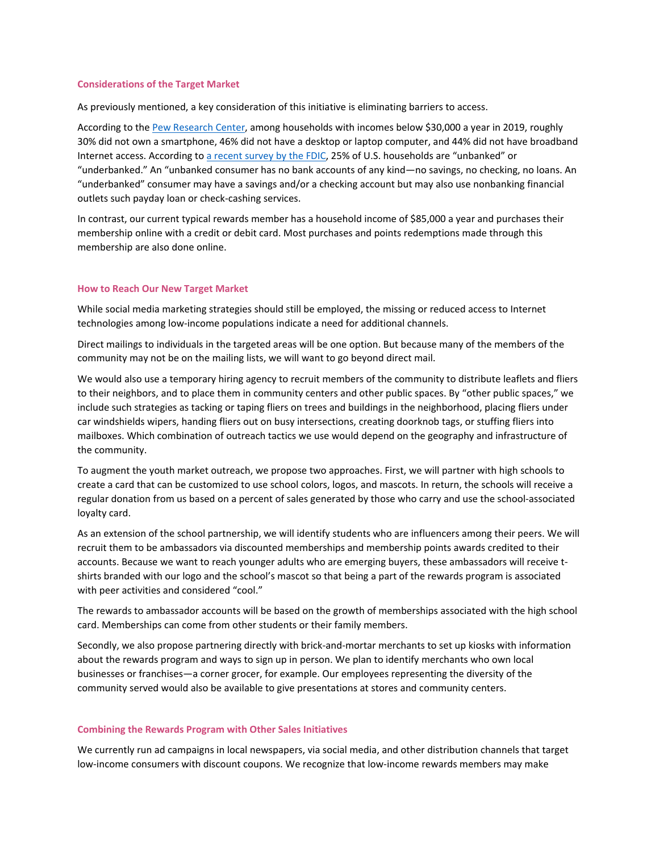#### **Considerations of the Target Market**

As previously mentioned, a key consideration of this initiative is eliminating barriers to access.

According to the Pew Research Center, among households with incomes below \$30,000 a year in 2019, roughly 30% did not own a smartphone, 46% did not have a desktop or laptop computer, and 44% did not have broadband Internet access. According to a recent survey by the FDIC, 25% of U.S. households are "unbanked" or "underbanked." An "unbanked consumer has no bank accounts of any kind—no savings, no checking, no loans. An "underbanked" consumer may have a savings and/or a checking account but may also use nonbanking financial outlets such payday loan or check‐cashing services.

In contrast, our current typical rewards member has a household income of \$85,000 a year and purchases their membership online with a credit or debit card. Most purchases and points redemptions made through this membership are also done online.

#### **How to Reach Our New Target Market**

While social media marketing strategies should still be employed, the missing or reduced access to Internet technologies among low‐income populations indicate a need for additional channels.

Direct mailings to individuals in the targeted areas will be one option. But because many of the members of the community may not be on the mailing lists, we will want to go beyond direct mail.

We would also use a temporary hiring agency to recruit members of the community to distribute leaflets and fliers to their neighbors, and to place them in community centers and other public spaces. By "other public spaces," we include such strategies as tacking or taping fliers on trees and buildings in the neighborhood, placing fliers under car windshields wipers, handing fliers out on busy intersections, creating doorknob tags, or stuffing fliers into mailboxes. Which combination of outreach tactics we use would depend on the geography and infrastructure of the community.

To augment the youth market outreach, we propose two approaches. First, we will partner with high schools to create a card that can be customized to use school colors, logos, and mascots. In return, the schools will receive a regular donation from us based on a percent of sales generated by those who carry and use the school‐associated loyalty card.

As an extension of the school partnership, we will identify students who are influencers among their peers. We will recruit them to be ambassadors via discounted memberships and membership points awards credited to their accounts. Because we want to reach younger adults who are emerging buyers, these ambassadors will receive t‐ shirts branded with our logo and the school's mascot so that being a part of the rewards program is associated with peer activities and considered "cool."

The rewards to ambassador accounts will be based on the growth of memberships associated with the high school card. Memberships can come from other students or their family members.

Secondly, we also propose partnering directly with brick‐and‐mortar merchants to set up kiosks with information about the rewards program and ways to sign up in person. We plan to identify merchants who own local businesses or franchises—a corner grocer, for example. Our employees representing the diversity of the community served would also be available to give presentations at stores and community centers.

#### **Combining the Rewards Program with Other Sales Initiatives**

We currently run ad campaigns in local newspapers, via social media, and other distribution channels that target low-income consumers with discount coupons. We recognize that low-income rewards members may make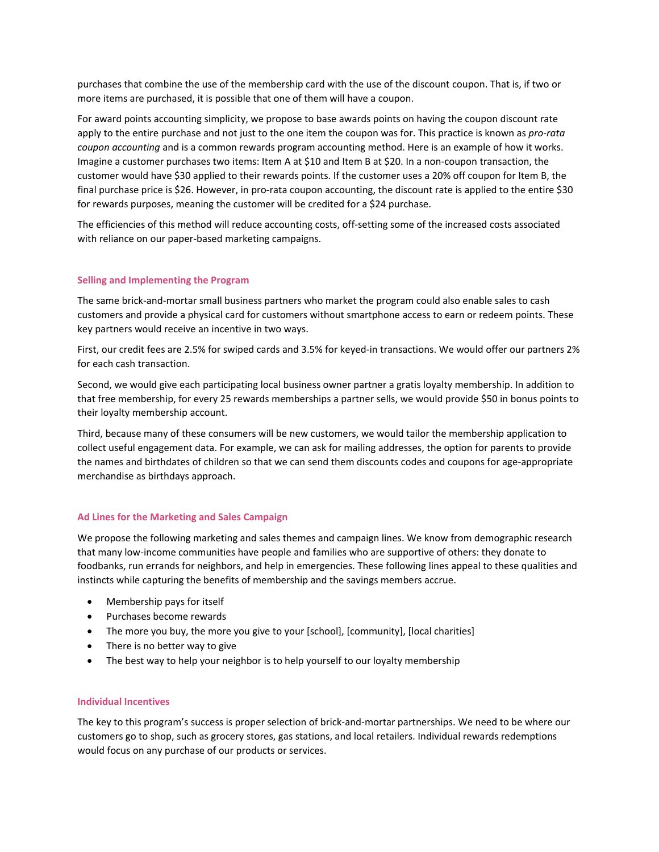purchases that combine the use of the membership card with the use of the discount coupon. That is, if two or more items are purchased, it is possible that one of them will have a coupon.

For award points accounting simplicity, we propose to base awards points on having the coupon discount rate apply to the entire purchase and not just to the one item the coupon was for. This practice is known as *pro‐rata coupon accounting* and is a common rewards program accounting method. Here is an example of how it works. Imagine a customer purchases two items: Item A at \$10 and Item B at \$20. In a non‐coupon transaction, the customer would have \$30 applied to their rewards points. If the customer uses a 20% off coupon for Item B, the final purchase price is \$26. However, in pro-rata coupon accounting, the discount rate is applied to the entire \$30 for rewards purposes, meaning the customer will be credited for a \$24 purchase.

The efficiencies of this method will reduce accounting costs, off-setting some of the increased costs associated with reliance on our paper-based marketing campaigns.

## **Selling and Implementing the Program**

The same brick‐and‐mortar small business partners who market the program could also enable sales to cash customers and provide a physical card for customers without smartphone access to earn or redeem points. These key partners would receive an incentive in two ways.

First, our credit fees are 2.5% for swiped cards and 3.5% for keyed-in transactions. We would offer our partners 2% for each cash transaction.

Second, we would give each participating local business owner partner a gratis loyalty membership. In addition to that free membership, for every 25 rewards memberships a partner sells, we would provide \$50 in bonus points to their loyalty membership account.

Third, because many of these consumers will be new customers, we would tailor the membership application to collect useful engagement data. For example, we can ask for mailing addresses, the option for parents to provide the names and birthdates of children so that we can send them discounts codes and coupons for age‐appropriate merchandise as birthdays approach.

## **Ad Lines for the Marketing and Sales Campaign**

We propose the following marketing and sales themes and campaign lines. We know from demographic research that many low‐income communities have people and families who are supportive of others: they donate to foodbanks, run errands for neighbors, and help in emergencies. These following lines appeal to these qualities and instincts while capturing the benefits of membership and the savings members accrue.

- Membership pays for itself
- Purchases become rewards
- The more you buy, the more you give to your [school], [community], [local charities]
- There is no better way to give
- The best way to help your neighbor is to help yourself to our loyalty membership

## **Individual Incentives**

The key to this program's success is proper selection of brick‐and‐mortar partnerships. We need to be where our customers go to shop, such as grocery stores, gas stations, and local retailers. Individual rewards redemptions would focus on any purchase of our products or services.